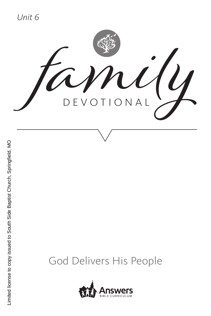*Unit 6*



## God Delivers His People

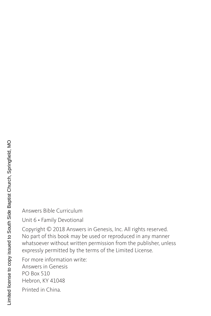Answers Bible Curriculum

Unit 6 • Family Devotional

Copyright © 2018 Answers in Genesis, Inc. All rights reserved. No part of this book may be used or reproduced in any manner whatsoever without written permission from the publisher, unless expressly permitted by the terms of the Limited License.

For more information write: Answers in Genesis PO Box 510 Hebron, KY 41048

Printed in China.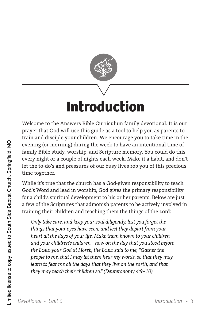

# **Introduction**

Welcome to the Answers Bible Curriculum family devotional. It is our prayer that God will use this guide as a tool to help you as parents to train and disciple your children. We encourage you to take time in the evening (or morning) during the week to have an intentional time of family Bible study, worship, and Scripture memory. You could do this every night or a couple of nights each week. Make it a habit, and don't let the to-do's and pressures of our busy lives rob you of this precious time together.

While it's true that the church has a God-given responsibility to teach God's Word and lead in worship, God gives the primary responsibility for a child's spiritual development to his or her parents. Below are just a few of the Scriptures that admonish parents to be actively involved in training their children and teaching them the things of the Lord:

*Only take care, and keep your soul diligently, lest you forget the things that your eyes have seen, and lest they depart from your heart all the days of your life. Make them known to your children and your children's children—how on the day that you stood before the Lord your God at Horeb, the Lord said to me, "Gather the people to me, that I may let them hear my words, so that they may learn to fear me all the days that they live on the earth, and that they may teach their children so." (Deuteronomy 4:9–10)*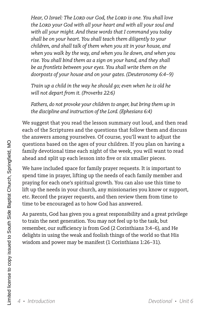*Hear, O Israel: The Lord our God, the Lord is one. You shall love the Lord your God with all your heart and with all your soul and with all your might. And these words that I command you today shall be on your heart. You shall teach them diligently to your children, and shall talk of them when you sit in your house, and when you walk by the way, and when you lie down, and when you rise. You shall bind them as a sign on your hand, and they shall be as frontlets between your eyes. You shall write them on the doorposts of your house and on your gates. (Deuteronomy 6:4–9)*

*Train up a child in the way he should go; even when he is old he will not depart from it. (Proverbs 22:6)* 

*Fathers, do not provoke your children to anger, but bring them up in the discipline and instruction of the Lord. (Ephesians 6:4)*

We suggest that you read the lesson summary out loud, and then read each of the Scriptures and the questions that follow them and discuss the answers among yourselves. Of course, you'll want to adjust the questions based on the ages of your children. If you plan on having a family devotional time each night of the week, you will want to read ahead and split up each lesson into five or six smaller pieces.

We have included space for family prayer requests. It is important to spend time in prayer, lifting up the needs of each family member and praying for each one's spiritual growth. You can also use this time to lift up the needs in your church, any missionaries you know or support, etc. Record the prayer requests, and then review them from time to time to be encouraged as to how God has answered.

As parents, God has given you a great responsibility and a great privilege to train the next generation. You may not feel up to the task, but remember, our sufficiency is from God (2 Corinthians 3:4–6), and He delights in using the weak and foolish things of the world so that His wisdom and power may be manifest (1 Corinthians 1:26–31).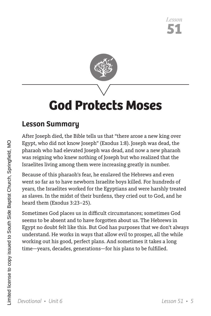

## **God Protects Moses**

## **Lesson Summary**

After Joseph died, the Bible tells us that "there arose a new king over Egypt, who did not know Joseph" (Exodus 1:8). Joseph was dead, the pharaoh who had elevated Joseph was dead, and now a new pharaoh was reigning who knew nothing of Joseph but who realized that the Israelites living among them were increasing greatly in number.

Because of this pharaoh's fear, he enslaved the Hebrews and even went so far as to have newborn Israelite boys killed. For hundreds of years, the Israelites worked for the Egyptians and were harshly treated as slaves. In the midst of their burdens, they cried out to God, and he heard them (Exodus 3:23–25).

Sometimes God places us in difficult circumstances; sometimes God seems to be absent and to have forgotten about us. The Hebrews in Egypt no doubt felt like this. But God has purposes that we don't always understand. He works in ways that allow evil to prosper, all the while working out his good, perfect plans. And sometimes it takes a long time—years, decades, generations—for his plans to be fulfilled.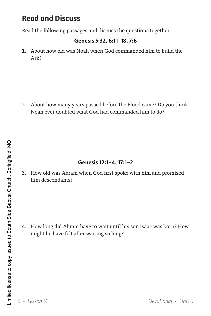Read the following passages and discuss the questions together.

### **Genesis 5:32, 6:11–18, 7:6**

1. About how old was Noah when God commanded him to build the Ark?

2. About how many years passed before the Flood came? Do you think Noah ever doubted what God had commanded him to do?

### **Genesis 12:1–4, 17:1–2**

3. How old was Abram when God first spoke with him and promised him descendants?

4. How long did Abram have to wait until his son Isaac was born? How might he have felt after waiting so long?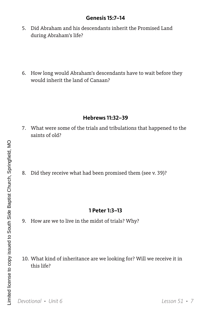#### **Genesis 15:7–14**

- 5. Did Abraham and his descendants inherit the Promised Land during Abraham's life?
- 6. How long would Abraham's descendants have to wait before they would inherit the land of Canaan?

#### **Hebrews 11:32–39**

- 7. What were some of the trials and tribulations that happened to the saints of old?
- 8. Did they receive what had been promised them (see v. 39)?

#### **1 Peter 1:3–13**

- 9. How are we to live in the midst of trials? Why?
- 10. What kind of inheritance are we looking for? Will we receive it in this life?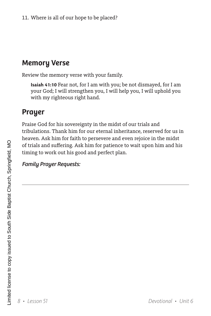## **Memory Verse**

Review the memory verse with your family.

**Isaiah 41:10** Fear not, for I am with you; be not dismayed, for I am your God; I will strengthen you, I will help you, I will uphold you with my righteous right hand.

## **Prayer**

Praise God for his sovereignty in the midst of our trials and tribulations. Thank him for our eternal inheritance, reserved for us in heaven. Ask him for faith to persevere and even rejoice in the midst of trials and suffering. Ask him for patience to wait upon him and his timing to work out his good and perfect plan.

### *Family Prayer Requests:*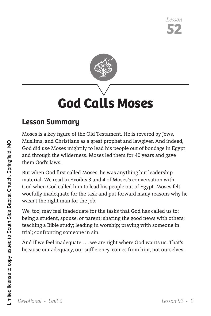

# **God Calls Moses**

## **Lesson Summary**

Moses is a key figure of the Old Testament. He is revered by Jews, Muslims, and Christians as a great prophet and lawgiver. And indeed, God did use Moses mightily to lead his people out of bondage in Egypt and through the wilderness. Moses led them for 40 years and gave them God's laws.

But when God first called Moses, he was anything but leadership material. We read in Exodus 3 and 4 of Moses's conversation with God when God called him to lead his people out of Egypt. Moses felt woefully inadequate for the task and put forward many reasons why he wasn't the right man for the job.

We, too, may feel inadequate for the tasks that God has called us to: being a student, spouse, or parent; sharing the good news with others; teaching a Bible study; leading in worship; praying with someone in trial; confronting someone in sin.

And if we feel inadequate . . . we are right where God wants us. That's because our adequacy, our sufficiency, comes from him, not ourselves.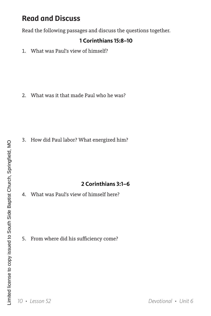Read the following passages and discuss the questions together.

#### **1 Corinthians 15:8–10**

1. What was Paul's view of himself?

2. What was it that made Paul who he was?

3. How did Paul labor? What energized him?

### **2 Corinthians 3:1–6**

4. What was Paul's view of himself here?

5. From where did his sufficiency come?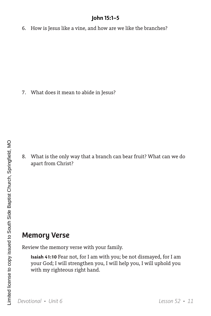### **John 15:1–5**

6. How is Jesus like a vine, and how are we like the branches?

7. What does it mean to abide in Jesus?

8. What is the only way that a branch can bear fruit? What can we do apart from Christ?

## **Memory Verse**

Review the memory verse with your family.

**Isaiah 41:10** Fear not, for I am with you; be not dismayed, for I am your God; I will strengthen you, I will help you, I will uphold you with my righteous right hand.

*Devotional • Unit 6 Lesson 52 • 11*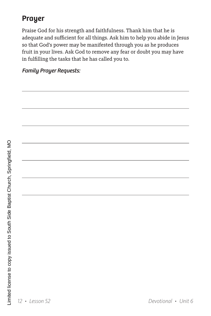## **Prayer**

Praise God for his strength and faithfulness. Thank him that he is adequate and sufficient for all things. Ask him to help you abide in Jesus so that God's power may be manifested through you as he produces fruit in your lives. Ask God to remove any fear or doubt you may have in fulfilling the tasks that he has called you to.

*Family Prayer Requests:*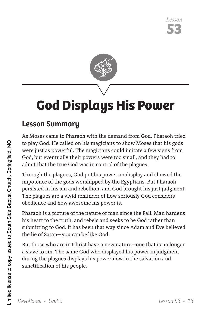

# **God Displays His Power**

## **Lesson Summary**

As Moses came to Pharaoh with the demand from God, Pharaoh tried to play God. He called on his magicians to show Moses that his gods were just as powerful. The magicians could imitate a few signs from God, but eventually their powers were too small, and they had to admit that the true God was in control of the plagues.

Through the plagues, God put his power on display and showed the impotence of the gods worshipped by the Egyptians. But Pharaoh persisted in his sin and rebellion, and God brought his just judgment. The plagues are a vivid reminder of how seriously God considers obedience and how awesome his power is.

Pharaoh is a picture of the nature of man since the Fall. Man hardens his heart to the truth, and rebels and seeks to be God rather than submitting to God. It has been that way since Adam and Eve believed the lie of Satan—you can be like God.

But those who are in Christ have a new nature—one that is no longer a slave to sin. The same God who displayed his power in judgment during the plagues displays his power now in the salvation and sanctification of his people.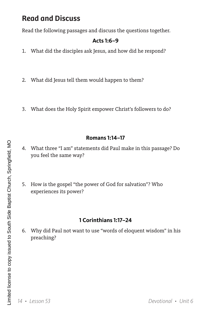Read the following passages and discuss the questions together.

### **Acts 1:6–9**

- 1. What did the disciples ask Jesus, and how did he respond?
- 2. What did Jesus tell them would happen to them?
- 3. What does the Holy Spirit empower Christ's followers to do?

#### **Romans 1:14–17**

- 4. What three "I am" statements did Paul make in this passage? Do you feel the same way?
- 5. How is the gospel "the power of God for salvation"? Who experiences its power?

### **1 Corinthians 1:17–24**

6. Why did Paul not want to use "words of eloquent wisdom" in his preaching?

*14 • Lesson 53 Devotional • Unit 6*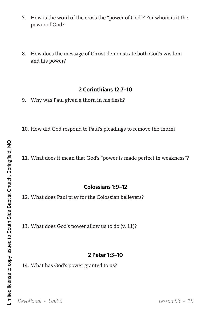- 7. How is the word of the cross the "power of God"? For whom is it the power of God?
- 8. How does the message of Christ demonstrate both God's wisdom and his power?

#### **2 Corinthians 12:7–10**

- 9. Why was Paul given a thorn in his flesh?
- 10. How did God respond to Paul's pleadings to remove the thorn?
- 11. What does it mean that God's "power is made perfect in weakness"?

#### **Colossians 1:9–12**

12. What does Paul pray for the Colossian believers?

13. What does God's power allow us to do (v. 11)?

#### **2 Peter 1:3–10**

14. What has God's power granted to us?

*Devotional • Unit 6 Lesson 53 • 15*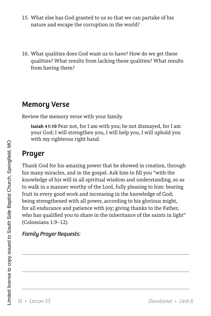- 15. What else has God granted to us so that we can partake of his nature and escape the corruption in the world?
- 16. What qualities does God want us to have? How do we get these qualities? What results from lacking these qualities? What results from having them?

## **Memory Verse**

Review the memory verse with your family.

**Isaiah 41:10** Fear not, for I am with you; be not dismayed, for I am your God; I will strengthen you, I will help you, I will uphold you with my righteous right hand.

## **Prayer**

Thank God for his amazing power that he showed in creation, through his many miracles, and in the gospel. Ask him to fill you "with the knowledge of his will in all spiritual wisdom and understanding, so as to walk in a manner worthy of the Lord, fully pleasing to him: bearing fruit in every good work and increasing in the knowledge of God; being strengthened with all power, according to his glorious might, for all endurance and patience with joy; giving thanks to the Father, who has qualified you to share in the inheritance of the saints in light" (Colossians 1:9–12).

### *Family Prayer Requests:*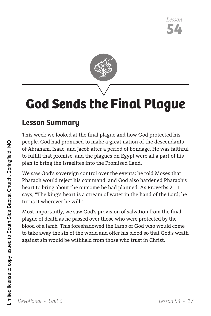

# **God Sends the Final Plague**

## **Lesson Summary**

This week we looked at the final plague and how God protected his people. God had promised to make a great nation of the descendants of Abraham, Isaac, and Jacob after a period of bondage. He was faithful to fulfill that promise, and the plagues on Egypt were all a part of his plan to bring the Israelites into the Promised Land.

We saw God's sovereign control over the events: he told Moses that Pharaoh would reject his command, and God also hardened Pharaoh's heart to bring about the outcome he had planned. As Proverbs 21:1 says, "The king's heart is a stream of water in the hand of the Lord; he turns it wherever he will."

Most importantly, we saw God's provision of salvation from the final plague of death as he passed over those who were protected by the blood of a lamb. This foreshadowed the Lamb of God who would come to take away the sin of the world and offer his blood so that God's wrath against sin would be withheld from those who trust in Christ.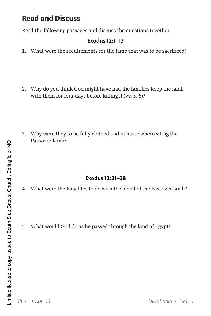Read the following passages and discuss the questions together.

### **Exodus 12:1–13**

- 1. What were the requirements for the lamb that was to be sacrificed?
- 2. Why do you think God might have had the families keep the lamb with them for four days before killing it (vv. 3, 6)?
- 3. Why were they to be fully clothed and in haste when eating the Passover lamb?

### **Exodus 12:21–28**

- 4. What were the Israelites to do with the blood of the Passover lamb?
- 5. What would God do as he passed through the land of Egypt?

*18 • Lesson 54 Devotional • Unit 6*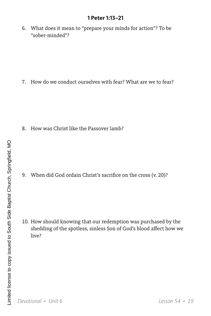#### **1 Peter 1:13–21**

6. What does it mean to "prepare your minds for action"? To be "sober-minded"?

7. How do we conduct ourselves with fear? What are we to fear?

8. How was Christ like the Passover lamb?

9. When did God ordain Christ's sacrifice on the cross (v. 20)?

10. How should knowing that our redemption was purchased by the shedding of the spotless, sinless Son of God's blood affect how we live?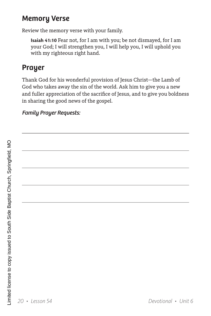## **Memory Verse**

Review the memory verse with your family.

**Isaiah 41:10** Fear not, for I am with you; be not dismayed, for I am your God; I will strengthen you, I will help you, I will uphold you with my righteous right hand.

## **Prayer**

Thank God for his wonderful provision of Jesus Christ—the Lamb of God who takes away the sin of the world. Ask him to give you a new and fuller appreciation of the sacrifice of Jesus, and to give you boldness in sharing the good news of the gospel.

## *Family Prayer Requests:*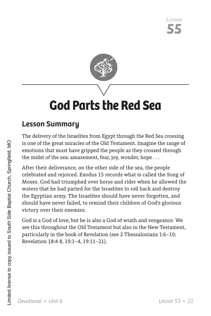

## **God Parts the Red Sea**

## **Lesson Summary**

The delivery of the Israelites from Egypt through the Red Sea crossing is one of the great miracles of the Old Testament. Imagine the range of emotions that must have gripped the people as they crossed through the midst of the sea: amazement, fear, joy, wonder, hope . . .

After their deliverance, on the other side of the sea, the people celebrated and rejoiced. Exodus 15 records what is called the Song of Moses. God had triumphed over horse and rider when he allowed the waters that he had parted for the Israelites to roll back and destroy the Egyptian army. The Israelites should have never forgotten, and should have never failed, to remind their children of God's glorious victory over their enemies.

God is a God of love, but he is also a God of wrath and vengeance. We see this throughout the Old Testament but also in the New Testament, particularly in the book of Revelation (see 2 Thessalonians 1:6–10; Revelation 18:4-8, 19:1–4, 19:11–21).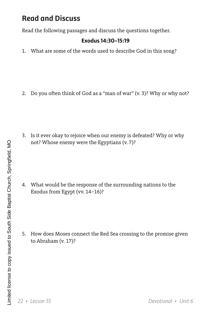Read the following passages and discuss the questions together.

#### **Exodus 14:30–15:19**

1. What are some of the words used to describe God in this song?

2. Do you often think of God as a "man of war" (v. 3)? Why or why not?

3. Is it ever okay to rejoice when our enemy is defeated? Why or why not? Whose enemy were the Egyptians (v. 7)?

4. What would be the response of the surrounding nations to the Exodus from Egypt (vv. 14–16)?

5. How does Moses connect the Red Sea crossing to the promise given to Abraham (v. 17)?

*22 • Lesson 55 Devotional • Unit 6*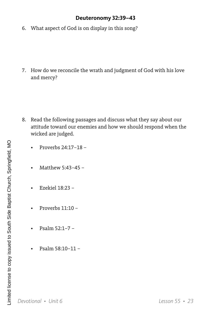#### **Deuteronomy 32:39–43**

6. What aspect of God is on display in this song?

7. How do we reconcile the wrath and judgment of God with his love and mercy?

- 8. Read the following passages and discuss what they say about our attitude toward our enemies and how we should respond when the wicked are judged.
	- Proverbs 24:17–18 –
	- Matthew 5:43–45 –
	- Ezekiel 18:23 –
	- Proverbs 11:10 –
	- Psalm 52:1–7 –
	- Psalm 58:10–11 –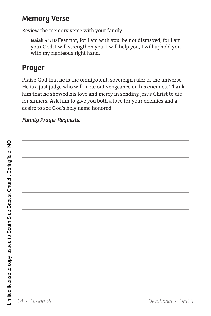## **Memory Verse**

Review the memory verse with your family.

**Isaiah 41:10** Fear not, for I am with you; be not dismayed, for I am your God; I will strengthen you, I will help you, I will uphold you with my righteous right hand.

## **Prayer**

Praise God that he is the omnipotent, sovereign ruler of the universe. He is a just judge who will mete out vengeance on his enemies. Thank him that he showed his love and mercy in sending Jesus Christ to die for sinners. Ask him to give you both a love for your enemies and a desire to see God's holy name honored.

## *Family Prayer Requests:*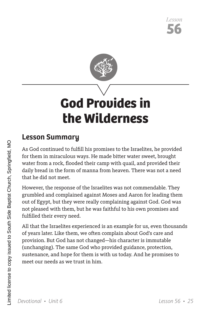

# **God Provides in the Wilderness**

## **Lesson Summary**

As God continued to fulfill his promises to the Israelites, he provided for them in miraculous ways. He made bitter water sweet, brought water from a rock, flooded their camp with quail, and provided their daily bread in the form of manna from heaven. There was not a need that he did not meet.

However, the response of the Israelites was not commendable. They grumbled and complained against Moses and Aaron for leading them out of Egypt, but they were really complaining against God. God was not pleased with them, but he was faithful to his own promises and fulfilled their every need.

All that the Israelites experienced is an example for us, even thousands of years later. Like them, we often complain about God's care and provision. But God has not changed—his character is immutable (unchanging). The same God who provided guidance, protection, sustenance, and hope for them is with us today. And he promises to meet our needs as we trust in him.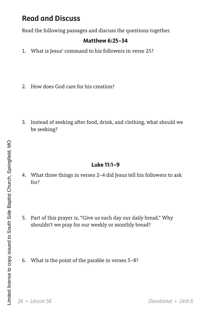Read the following passages and discuss the questions together.

#### **Matthew 6:25–34**

- 1. What is Jesus' command to his followers in verse 25?
- 2. How does God care for his creation?
- 3. Instead of seeking after food, drink, and clothing, what should we be seeking?

#### **Luke 11:1–9**

- 4. What three things in verses 2–4 did Jesus tell his followers to ask for?
- 5. Part of this prayer is, "Give us each day our daily bread." Why shouldn't we pray for our weekly or monthly bread?
- 6. What is the point of the parable in verses 5–8?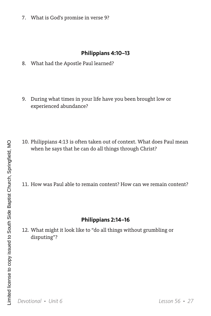7. What is God's promise in verse 9?

#### **Philippians 4:10–13**

- 8. What had the Apostle Paul learned?
- 9. During what times in your life have you been brought low or experienced abundance?
- 10. Philippians 4:13 is often taken out of context. What does Paul mean when he says that he can do all things through Christ?
- 11. How was Paul able to remain content? How can we remain content?

#### **Philippians 2:14–16**

12. What might it look like to "do all things without grumbling or disputing"?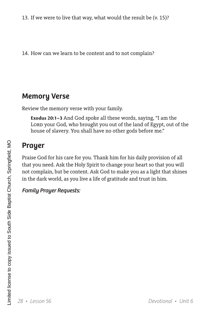13. If we were to live that way, what would the result be (v. 15)?

14. How can we learn to be content and to not complain?

## **Memory Verse**

Review the memory verse with your family.

**Exodus 20:1–3** And God spoke all these words, saying, "I am the LORD your God, who brought you out of the land of Egypt, out of the house of slavery. You shall have no other gods before me."

## **Prayer**

Praise God for his care for you. Thank him for his daily provision of all that you need. Ask the Holy Spirit to change your heart so that you will not complain, but be content. Ask God to make you as a light that shines in the dark world, as you live a life of gratitude and trust in him.

### *Family Prayer Requests:*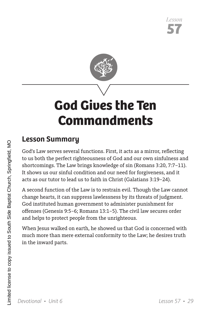

# **God Gives the Ten Commandments**

## **Lesson Summary**

God's Law serves several functions. First, it acts as a mirror, reflecting to us both the perfect righteousness of God and our own sinfulness and shortcomings. The Law brings knowledge of sin (Romans 3:20, 7:7–11). It shows us our sinful condition and our need for forgiveness, and it acts as our tutor to lead us to faith in Christ (Galatians 3:19–24).

A second function of the Law is to restrain evil. Though the Law cannot change hearts, it can suppress lawlessness by its threats of judgment. God instituted human government to administer punishment for offenses (Genesis 9:5–6; Romans 13:1–5). The civil law secures order and helps to protect people from the unrighteous.

When Jesus walked on earth, he showed us that God is concerned with much more than mere external conformity to the Law; he desires truth in the inward parts.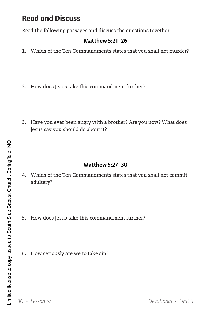Read the following passages and discuss the questions together.

### **Matthew 5:21–26**

- 1. Which of the Ten Commandments states that you shall not murder?
- 2. How does Jesus take this commandment further?
- 3. Have you ever been angry with a brother? Are you now? What does Jesus say you should do about it?

#### **Matthew 5:27–30**

- 4. Which of the Ten Commandments states that you shall not commit adultery?
- 5. How does Jesus take this commandment further?
- 6. How seriously are we to take sin?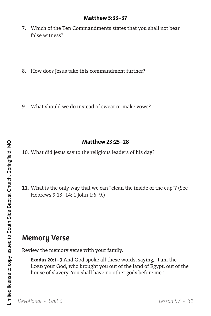#### **Matthew 5:33–37**

- 7. Which of the Ten Commandments states that you shall not bear false witness?
- 8. How does Jesus take this commandment further?
- 9. What should we do instead of swear or make vows?

#### **Matthew 23:25–28**

- 10. What did Jesus say to the religious leaders of his day?
- 11. What is the only way that we can "clean the inside of the cup"? (See Hebrews 9:13–14; 1 John 1:6–9.)

## **Memory Verse**

Review the memory verse with your family.

**Exodus 20:1–3** And God spoke all these words, saying, "I am the LORD your God, who brought you out of the land of Egypt, out of the house of slavery. You shall have no other gods before me."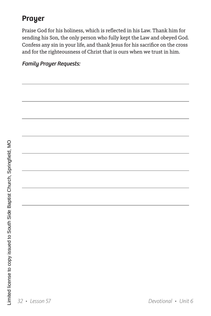## **Prayer**

Praise God for his holiness, which is reflected in his Law. Thank him for sending his Son, the only person who fully kept the Law and obeyed God. Confess any sin in your life, and thank Jesus for his sacrifice on the cross and for the righteousness of Christ that is ours when we trust in him.

### *Family Prayer Requests:*

֦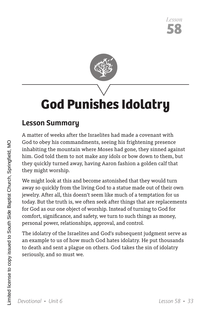

# **God Punishes Idolatry**

## **Lesson Summary**

A matter of weeks after the Israelites had made a covenant with God to obey his commandments, seeing his frightening presence inhabiting the mountain where Moses had gone, they sinned against him. God told them to not make any idols or bow down to them, but they quickly turned away, having Aaron fashion a golden calf that they might worship.

We might look at this and become astonished that they would turn away so quickly from the living God to a statue made out of their own jewelry. After all, this doesn't seem like much of a temptation for us today. But the truth is, we often seek after things that are replacements for God as our one object of worship. Instead of turning to God for comfort, significance, and safety, we turn to such things as money, personal power, relationships, approval, and control.

The idolatry of the Israelites and God's subsequent judgment serve as an example to us of how much God hates idolatry. He put thousands to death and sent a plague on others. God takes the sin of idolatry seriously, and so must we.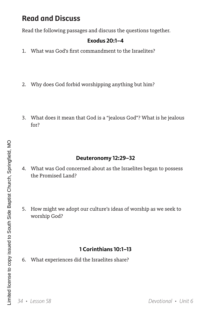Read the following passages and discuss the questions together.

#### **Exodus 20:1–4**

- 1. What was God's first commandment to the Israelites?
- 2. Why does God forbid worshipping anything but him?
- 3. What does it mean that God is a "jealous God"? What is he jealous for?

### **Deuteronomy 12:29–32**

- 4. What was God concerned about as the Israelites began to possess the Promised Land?
- 5. How might we adopt our culture's ideas of worship as we seek to worship God?

### **1 Corinthians 10:1–13**

6. What experiences did the Israelites share?

*34 • Lesson 58 Devotional • Unit 6*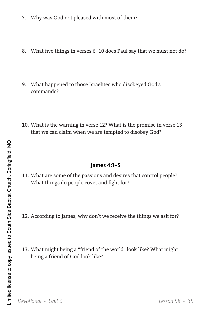- 7. Why was God not pleased with most of them?
- 8. What five things in verses 6–10 does Paul say that we must not do?
- 9. What happened to those Israelites who disobeyed God's commands?
- 10. What is the warning in verse 12? What is the promise in verse 13 that we can claim when we are tempted to disobey God?

#### **James 4:1–5**

- 11. What are some of the passions and desires that control people? What things do people covet and fight for?
- 12. According to James, why don't we receive the things we ask for?
- 13. What might being a "friend of the world" look like? What might being a friend of God look like?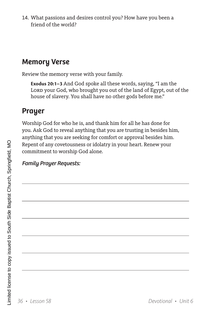14. What passions and desires control you? How have you been a friend of the world?

## **Memory Verse**

Review the memory verse with your family.

**Exodus 20:1–3** And God spoke all these words, saying, "I am the LORD your God, who brought you out of the land of Egypt, out of the house of slavery. You shall have no other gods before me."

## **Prayer**

Worship God for who he is, and thank him for all he has done for you. Ask God to reveal anything that you are trusting in besides him, anything that you are seeking for comfort or approval besides him. Repent of any covetousness or idolatry in your heart. Renew your commitment to worship God alone.

### *Family Prayer Requests:*

 $\overline{a}$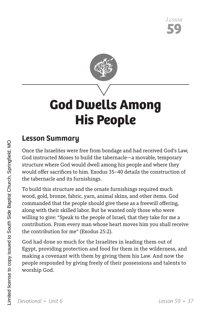

# **God Dwells Among His People**

## **Lesson Summary**

Once the Israelites were free from bondage and had received God's Law, God instructed Moses to build the tabernacle—a movable, temporary structure where God would dwell among his people and where they would offer sacrifices to him. Exodus 35–40 details the construction of the tabernacle and its furnishings.

To build this structure and the ornate furnishings required much wood, gold, bronze, fabric, yarn, animal skins, and other items. God commanded that the people should give these as a freewill offering, along with their skilled labor. But he wanted only those who were willing to give: "Speak to the people of Israel, that they take for me a contribution. From every man whose heart moves him you shall receive the contribution for me" (Exodus 25:2).

God had done so much for the Israelites in leading them out of Egypt, providing protection and food for them in the wilderness, and making a covenant with them by giving them his Law. And now the people responded by giving freely of their possessions and talents to worship God.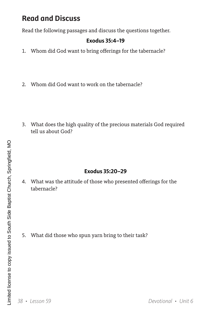Read the following passages and discuss the questions together.

#### **Exodus 35:4–19**

- 1. Whom did God want to bring offerings for the tabernacle?
- 2. Whom did God want to work on the tabernacle?

3. What does the high quality of the precious materials God required tell us about God?

### **Exodus 35:20–29**

4. What was the attitude of those who presented offerings for the tabernacle?

5. What did those who spun yarn bring to their task?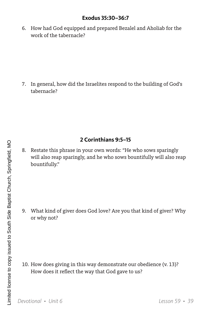#### **Exodus 35:30–36:7**

6. How had God equipped and prepared Bezalel and Aholiab for the work of the tabernacle?

7. In general, how did the Israelites respond to the building of God's tabernacle?

### **2 Corinthians 9:5–15**

8. Restate this phrase in your own words: "He who sows sparingly will also reap sparingly, and he who sows bountifully will also reap bountifully."

9. What kind of giver does God love? Are you that kind of giver? Why or why not?

10. How does giving in this way demonstrate our obedience (v. 13)? How does it reflect the way that God gave to us?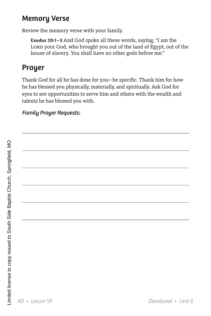## **Memory Verse**

Review the memory verse with your family.

**Exodus 20:1–3** And God spoke all these words, saying, "I am the LORD your God, who brought you out of the land of Egypt, out of the house of slavery. You shall have no other gods before me."

## **Prayer**

Thank God for all he has done for you—be specific. Thank him for how he has blessed you physically, materially, and spiritually. Ask God for eyes to see opportunities to serve him and others with the wealth and talents he has blessed you with.

## *Family Prayer Requests:*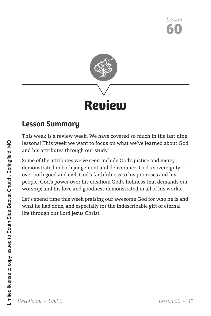

## **Lesson Summary**

This week is a review week. We have covered so much in the last nine lessons! This week we want to focus on what we've learned about God and his attributes through our study.

Some of the attributes we've seen include God's justice and mercy demonstrated in both judgement and deliverance; God's sovereignty over both good and evil; God's faithfulness to his promises and his people; God's power over his creation; God's holiness that demands our worship; and his love and goodness demonstrated in all of his works.

Let's spend time this week praising our awesome God for who he is and what he had done, and especially for the indescribable gift of eternal life through our Lord Jesus Christ.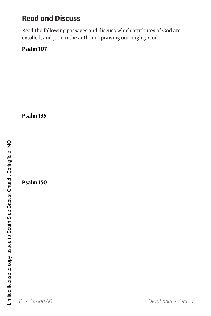Read the following passages and discuss which attributes of God are extolled, and join in the author in praising our mighty God.

**Psalm 107**

**Psalm 135**

**Psalm 150**

*42 • Lesson 60 Devotional • Unit 6*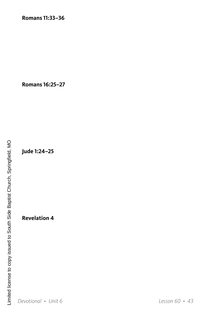**Romans 16:25–27**

**Jude 1:24–25**

**Revelation 4**